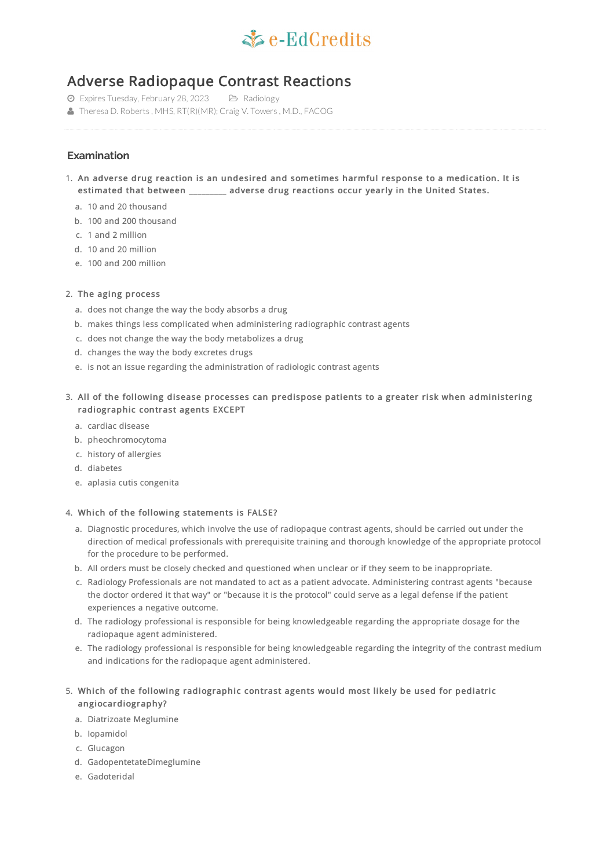

# Adverse Radiopaque Contrast Reactions

- Expires Tuesday, February 28, 2023 Radiology
- Theresa D. Roberts, MHS, RT(R)(MR); Craig V. Towers, M.D., FACOG

# **Examination**

- 1. An adverse drug reaction is an undesired and sometimes harmful response to a medication. It is estimated that between \_\_\_\_\_\_\_\_\_ adverse drug reactions occur yearly in the United States.
	- a. 10 and 20 thousand
	- b. 100 and 200 thousand
	- c. 1 and 2 million
	- d. 10 and 20 million
	- e. 100 and 200 million

# 2. The aging process

- a. does not change the way the body absorbs a drug
- b. makes things less complicated when administering radiographic contrast agents
- c. does not change the way the body metabolizes a drug
- d. changes the way the body excretes drugs
- e. is not an issue regarding the administration of radiologic contrast agents
- 3. All of the following disease processes can predispose patients to a greater risk when administering radiographic contrast agents EXCEPT
	- a. cardiac disease
	- b. pheochromocytoma
	- c. history of allergies
	- d. diabetes
	- e. aplasia cutis congenita

#### 4. Which of the following statements is FALSE?

- a. Diagnostic procedures, which involve the use of radiopaque contrast agents, should be carried out under the direction of medical professionals with prerequisite training and thorough knowledge of the appropriate protocol for the procedure to be performed.
- b. All orders must be closely checked and questioned when unclear or if they seem to be inappropriate.
- c. Radiology Professionals are not mandated to act as a patient advocate. Administering contrast agents "because the doctor ordered it that way" or "because it is the protocol" could serve as a legal defense if the patient experiences a negative outcome.
- d. The radiology professional is responsible for being knowledgeable regarding the appropriate dosage for the radiopaque agent administered.
- e. The radiology professional is responsible for being knowledgeable regarding the integrity of the contrast medium and indications for the radiopaque agent administered.

# 5. Which of the following radiographic contrast agents would most likely be used for pediatric angiocardiography?

- a. Diatrizoate Meglumine
- b. Iopamidol
- c. Glucagon
- d. GadopentetateDimeglumine
- e. Gadoteridal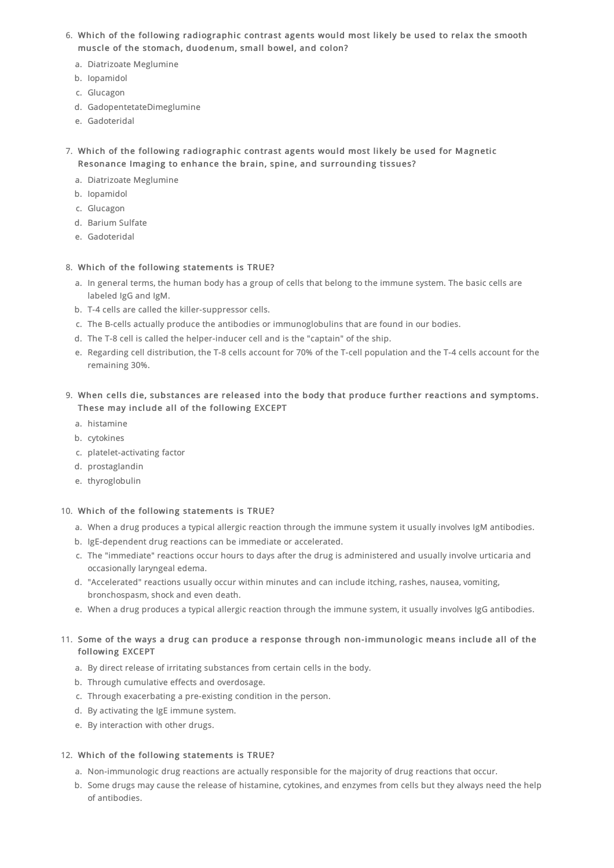- 6. Which of the following radiographic contrast agents would most likely be used to relax the smooth muscle of the stomach, duodenum, small bowel, and colon?
	- a. Diatrizoate Meglumine
	- b. Iopamidol
	- c. Glucagon
	- d. GadopentetateDimeglumine
	- e. Gadoteridal
- 7. Which of the following radiographic contrast agents would most likely be used for Magnetic Resonance Imaging to enhance the brain, spine, and surrounding tissues?
	- a. Diatrizoate Meglumine
	- b. Iopamidol
	- c. Glucagon
	- d. Barium Sulfate
	- e. Gadoteridal

# 8. Which of the following statements is TRUE?

- a. In general terms, the human body has a group of cells that belong to the immune system. The basic cells are labeled IgG and IgM.
- b. T-4 cells are called the killer-suppressor cells.
- c. The B-cells actually produce the antibodies or immunoglobulins that are found in our bodies.
- d. The T-8 cell is called the helper-inducer cell and is the "captain" of the ship.
- e. Regarding cell distribution, the T-8 cells account for 70% of the T-cell population and the T-4 cells account for the remaining 30%.
- 9. When cells die, substances are released into the body that produce further reactions and symptoms. These may include all of the following EXCEPT
	- a. histamine
	- b. cytokines
	- c. platelet-activating factor
	- d. prostaglandin
	- e. thyroglobulin

# 10. Which of the following statements is TRUE?

- a. When a drug produces a typical allergic reaction through the immune system it usually involves IgM antibodies.
- b. IgE-dependent drug reactions can be immediate or accelerated.
- c. The "immediate" reactions occur hours to days after the drug is administered and usually involve urticaria and occasionally laryngeal edema.
- d. "Accelerated" reactions usually occur within minutes and can include itching, rashes, nausea, vomiting, bronchospasm, shock and even death.
- e. When a drug produces a typical allergic reaction through the immune system, it usually involves IgG antibodies.

# 11. Some of the ways a drug can produce a response through non-immunologic means include all of the following EXCEPT

- a. By direct release of irritating substances from certain cells in the body.
- b. Through cumulative effects and overdosage.
- c. Through exacerbating a pre-existing condition in the person.
- d. By activating the IgE immune system.
- e. By interaction with other drugs.

# 12. Which of the following statements is TRUE?

- a. Non-immunologic drug reactions are actually responsible for the majority of drug reactions that occur.
- b. Some drugs may cause the release of histamine, cytokines, and enzymes from cells but they always need the help of antibodies.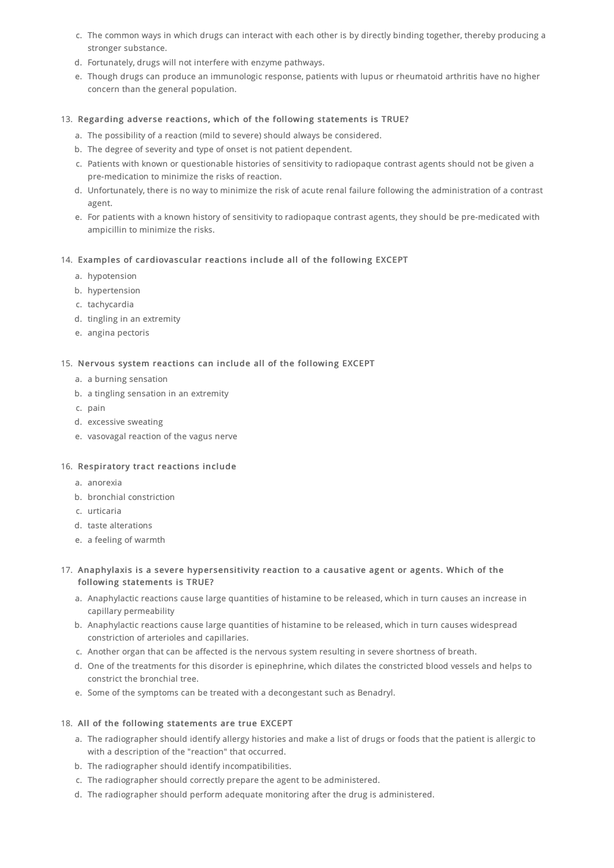- c. The common ways in which drugs can interact with each other is by directly binding together, thereby producing a stronger substance.
- d. Fortunately, drugs will not interfere with enzyme pathways.
- e. Though drugs can produce an immunologic response, patients with lupus or rheumatoid arthritis have no higher concern than the general population.

### 13. Regarding adverse reactions, which of the following statements is TRUE?

- a. The possibility of a reaction (mild to severe) should always be considered.
- b. The degree of severity and type of onset is not patient dependent.
- c. Patients with known or questionable histories of sensitivity to radiopaque contrast agents should not be given a pre-medication to minimize the risks of reaction.
- d. Unfortunately, there is no way to minimize the risk of acute renal failure following the administration of a contrast agent.
- e. For patients with a known history of sensitivity to radiopaque contrast agents, they should be pre-medicated with ampicillin to minimize the risks.

### 14. Examples of cardiovascular reactions include all of the following EXCEPT

- a. hypotension
- b. hypertension
- c. tachycardia
- d. tingling in an extremity
- e. angina pectoris

#### 15. Nervous system reactions can include all of the following EXCEPT

- a. a burning sensation
- b. a tingling sensation in an extremity
- c. pain
- d. excessive sweating
- e. vasovagal reaction of the vagus nerve

#### 16. Respiratory tract reactions include

- a. anorexia
- b. bronchial constriction
- c. urticaria
- d. taste alterations
- e. a feeling of warmth

# 17. Anaphylaxis is a severe hypersensitivity reaction to a causative agent or agents. Which of the following statements is TRUE?

- a. Anaphylactic reactions cause large quantities of histamine to be released, which in turn causes an increase in capillary permeability
- b. Anaphylactic reactions cause large quantities of histamine to be released, which in turn causes widespread constriction of arterioles and capillaries.
- c. Another organ that can be affected is the nervous system resulting in severe shortness of breath.
- d. One of the treatments for this disorder is epinephrine, which dilates the constricted blood vessels and helps to constrict the bronchial tree.
- e. Some of the symptoms can be treated with a decongestant such as Benadryl.

#### 18. All of the following statements are true EXCEPT

- a. The radiographer should identify allergy histories and make a list of drugs or foods that the patient is allergic to with a description of the "reaction" that occurred.
- b. The radiographer should identify incompatibilities.
- c. The radiographer should correctly prepare the agent to be administered.
- d. The radiographer should perform adequate monitoring after the drug is administered.